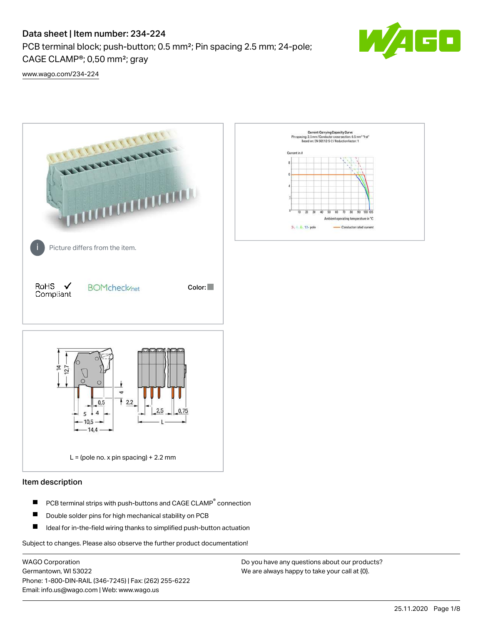PCB terminal block; push-button; 0.5 mm²; Pin spacing 2.5 mm; 24-pole; CAGE CLAMP®; 0,50 mm²; gray



[www.wago.com/234-224](http://www.wago.com/234-224)



#### Item description

- PCB terminal strips with push-buttons and CAGE CLAMP<sup>®</sup> connection П
- П Double solder pins for high mechanical stability on PCB
- П Ideal for in-the-field wiring thanks to simplified push-button actuation

Subject to changes. Please also observe the further product documentation!

WAGO Corporation Germantown, WI 53022 Phone: 1-800-DIN-RAIL (346-7245) | Fax: (262) 255-6222 Email: info.us@wago.com | Web: www.wago.us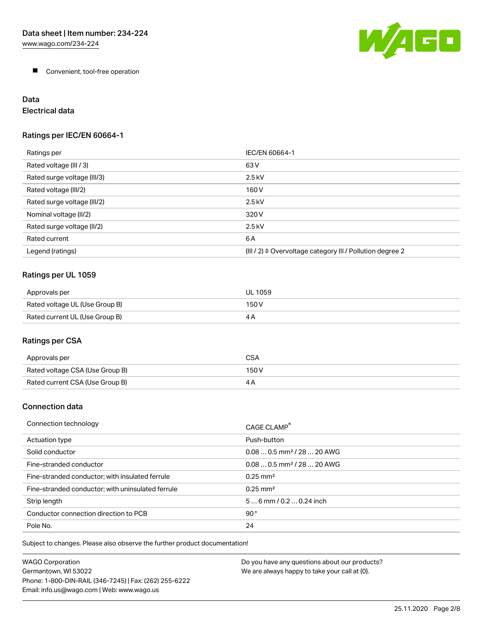W/AGO

**Convenient, tool-free operation** 

# Data

# Electrical data

### Ratings per IEC/EN 60664-1

| Ratings per                 | IEC/EN 60664-1                                                        |
|-----------------------------|-----------------------------------------------------------------------|
| Rated voltage (III / 3)     | 63 V                                                                  |
| Rated surge voltage (III/3) | $2.5$ kV                                                              |
| Rated voltage (III/2)       | 160 V                                                                 |
| Rated surge voltage (III/2) | $2.5$ kV                                                              |
| Nominal voltage (II/2)      | 320 V                                                                 |
| Rated surge voltage (II/2)  | $2.5$ kV                                                              |
| Rated current               | 6A                                                                    |
| Legend (ratings)            | $(III / 2)$ $\triangle$ Overvoltage category III / Pollution degree 2 |

#### Ratings per UL 1059

| Approvals per                  | UL 1059 |
|--------------------------------|---------|
| Rated voltage UL (Use Group B) | 150 V   |
| Rated current UL (Use Group B) | 4 A     |

### Ratings per CSA

| Approvals per                   | CSA   |
|---------------------------------|-------|
| Rated voltage CSA (Use Group B) | 150 V |
| Rated current CSA (Use Group B) |       |

#### Connection data

| Connection technology                             | CAGE CLAMP <sup>®</sup>                |
|---------------------------------------------------|----------------------------------------|
| Actuation type                                    | Push-button                            |
| Solid conductor                                   | $0.080.5$ mm <sup>2</sup> / 28  20 AWG |
| Fine-stranded conductor                           | $0.080.5$ mm <sup>2</sup> / 28  20 AWG |
| Fine-stranded conductor; with insulated ferrule   | $0.25 \text{ mm}^2$                    |
| Fine-stranded conductor; with uninsulated ferrule | $0.25 \text{ mm}^2$                    |
| Strip length                                      | $56$ mm $/ 0.20.24$ inch               |
| Conductor connection direction to PCB             | 90°                                    |
| Pole No.                                          | 24                                     |

Subject to changes. Please also observe the further product documentation!

| <b>WAGO Corporation</b>                                | Do you have any questions about our products? |
|--------------------------------------------------------|-----------------------------------------------|
| Germantown, WI 53022                                   | We are always happy to take your call at {0}. |
| Phone: 1-800-DIN-RAIL (346-7245)   Fax: (262) 255-6222 |                                               |
| Email: info.us@wago.com   Web: www.wago.us             |                                               |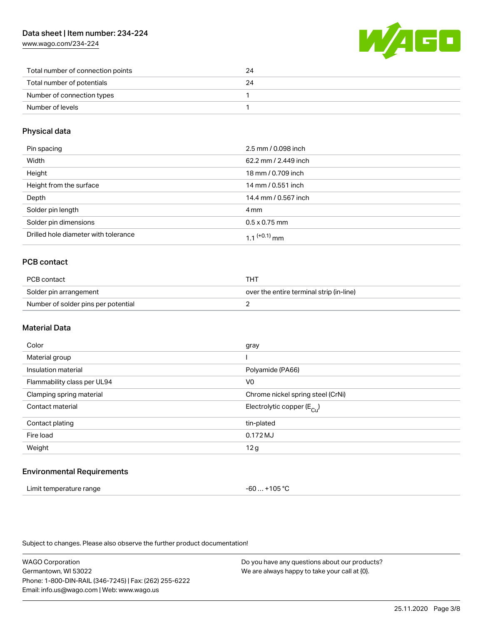[www.wago.com/234-224](http://www.wago.com/234-224)



| Total number of connection points | 24 |
|-----------------------------------|----|
| Total number of potentials        | 24 |
| Number of connection types        |    |
| Number of levels                  |    |

#### Physical data

| Pin spacing                          | 2.5 mm / 0.098 inch  |
|--------------------------------------|----------------------|
| Width                                | 62.2 mm / 2.449 inch |
| Height                               | 18 mm / 0.709 inch   |
| Height from the surface              | 14 mm / 0.551 inch   |
| Depth                                | 14.4 mm / 0.567 inch |
| Solder pin length                    | 4 mm                 |
| Solder pin dimensions                | $0.5 \times 0.75$ mm |
| Drilled hole diameter with tolerance | 1 1 $(+0.1)$ mm      |

#### PCB contact

| PCB contact                         | тнт                                      |  |
|-------------------------------------|------------------------------------------|--|
| Solder pin arrangement              | over the entire terminal strip (in-line) |  |
| Number of solder pins per potential |                                          |  |

#### Material Data

| Color                       | gray                                  |
|-----------------------------|---------------------------------------|
| Material group              |                                       |
| Insulation material         | Polyamide (PA66)                      |
| Flammability class per UL94 | V <sub>0</sub>                        |
| Clamping spring material    | Chrome nickel spring steel (CrNi)     |
| Contact material            | Electrolytic copper $(E_{\text{Cl}})$ |
| Contact plating             | tin-plated                            |
| Fire load                   | 0.172 MJ                              |
| Weight                      | 12g                                   |
|                             |                                       |

#### Environmental Requirements

| Limit temperature range | -60  +105 °C |
|-------------------------|--------------|
|-------------------------|--------------|

Subject to changes. Please also observe the further product documentation!

WAGO Corporation Germantown, WI 53022 Phone: 1-800-DIN-RAIL (346-7245) | Fax: (262) 255-6222 Email: info.us@wago.com | Web: www.wago.us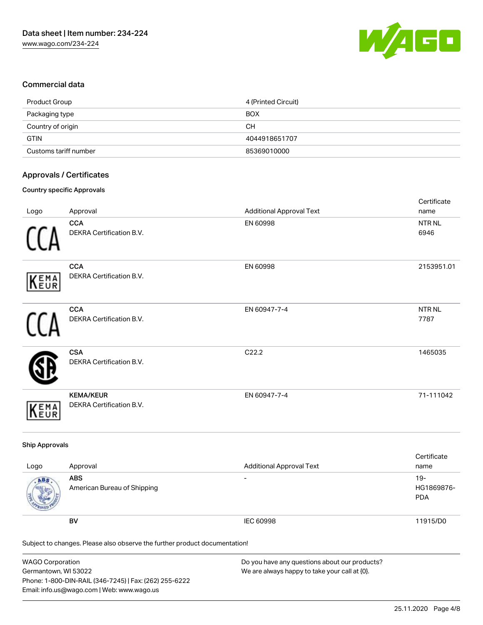

#### Commercial data

| Product Group         | 4 (Printed Circuit) |
|-----------------------|---------------------|
| Packaging type        | <b>BOX</b>          |
| Country of origin     | CН                  |
| <b>GTIN</b>           | 4044918651707       |
| Customs tariff number | 85369010000         |

#### Approvals / Certificates

#### Country specific Approvals

|            |                                               |                                 | Certificate               |
|------------|-----------------------------------------------|---------------------------------|---------------------------|
| Logo       | Approval                                      | <b>Additional Approval Text</b> | name                      |
|            | <b>CCA</b><br>DEKRA Certification B.V.        | EN 60998                        | NTR NL<br>6946            |
| KEMA       | <b>CCA</b><br>DEKRA Certification B.V.        | EN 60998                        | 2153951.01                |
|            | <b>CCA</b><br><b>DEKRA Certification B.V.</b> | EN 60947-7-4                    | NTR <sub>NL</sub><br>7787 |
|            | <b>CSA</b><br>DEKRA Certification B.V.        | C22.2                           | 1465035                   |
| EMA<br>EUR | <b>KEMA/KEUR</b><br>DEKRA Certification B.V.  | EN 60947-7-4                    | 71-111042                 |

#### Ship Approvals

| Logo | Approval                                  | <b>Additional Approval Text</b> | Certificate<br>name             |
|------|-------------------------------------------|---------------------------------|---------------------------------|
| ABS  | <b>ABS</b><br>American Bureau of Shipping | $\overline{\phantom{0}}$        | 19-<br>HG1869876-<br><b>PDA</b> |
|      | BV                                        | IEC 60998                       | 11915/D0                        |

Subject to changes. Please also observe the further product documentation!

| <b>WAGO Corporation</b>                                | Do you have any questions about our products? |
|--------------------------------------------------------|-----------------------------------------------|
| Germantown, WI 53022                                   | We are always happy to take your call at {0}. |
| Phone: 1-800-DIN-RAIL (346-7245)   Fax: (262) 255-6222 |                                               |
| Email: info.us@wago.com   Web: www.wago.us             |                                               |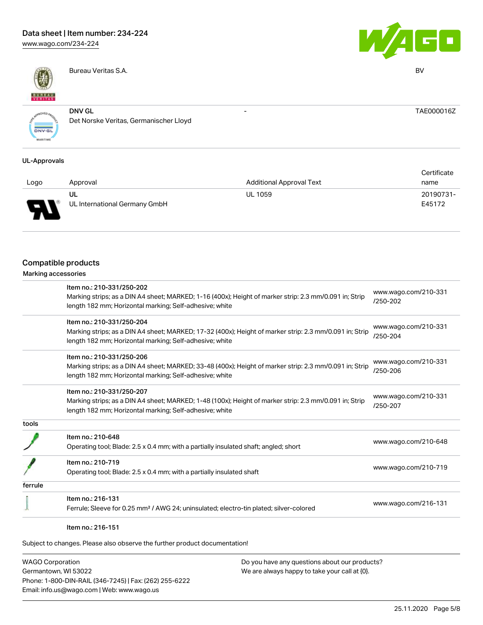[www.wago.com/234-224](http://www.wago.com/234-224)



Bureau Veritas S.A. BV



- TAE000016Z

**ONV.GL** 

DNV GL Det Norske Veritas, Germanischer Lloyd

#### UL-Approvals

|      |                               |                                 | Certificate |
|------|-------------------------------|---------------------------------|-------------|
| Logo | Approval                      | <b>Additional Approval Text</b> | name        |
|      | UL                            | <b>UL 1059</b>                  | 20190731-   |
| Б    | UL International Germany GmbH |                                 | E45172      |

#### Compatible products

|         | Item no.: 210-331/250-202                                                                               | www.wago.com/210-331 |  |
|---------|---------------------------------------------------------------------------------------------------------|----------------------|--|
|         | Marking strips; as a DIN A4 sheet; MARKED; 1-16 (400x); Height of marker strip: 2.3 mm/0.091 in; Strip  | /250-202             |  |
|         | length 182 mm; Horizontal marking; Self-adhesive; white                                                 |                      |  |
|         | Item no.: 210-331/250-204                                                                               | www.wago.com/210-331 |  |
|         | Marking strips; as a DIN A4 sheet; MARKED; 17-32 (400x); Height of marker strip: 2.3 mm/0.091 in; Strip | /250-204             |  |
|         | length 182 mm; Horizontal marking; Self-adhesive; white                                                 |                      |  |
|         | Item no.: 210-331/250-206                                                                               |                      |  |
|         | Marking strips; as a DIN A4 sheet; MARKED; 33-48 (400x); Height of marker strip: 2.3 mm/0.091 in; Strip | www.wago.com/210-331 |  |
|         | length 182 mm; Horizontal marking; Self-adhesive; white                                                 | /250-206             |  |
|         | Item no.: 210-331/250-207                                                                               |                      |  |
|         | Marking strips; as a DIN A4 sheet; MARKED; 1-48 (100x); Height of marker strip: 2.3 mm/0.091 in; Strip  | www.wago.com/210-331 |  |
|         | length 182 mm; Horizontal marking; Self-adhesive; white                                                 | /250-207             |  |
| tools   |                                                                                                         |                      |  |
|         | Item no.: 210-648                                                                                       |                      |  |
|         | Operating tool; Blade: 2.5 x 0.4 mm; with a partially insulated shaft; angled; short                    | www.wago.com/210-648 |  |
|         | Item no.: 210-719                                                                                       |                      |  |
|         | Operating tool; Blade: 2.5 x 0.4 mm; with a partially insulated shaft                                   | www.wago.com/210-719 |  |
| ferrule |                                                                                                         |                      |  |
|         | Item no.: 216-131                                                                                       |                      |  |
|         | Ferrule; Sleeve for 0.25 mm <sup>2</sup> / AWG 24; uninsulated; electro-tin plated; silver-colored      | www.wago.com/216-131 |  |
|         |                                                                                                         |                      |  |

Subject to changes. Please also observe the further product documentation!

WAGO Corporation Germantown, WI 53022 Phone: 1-800-DIN-RAIL (346-7245) | Fax: (262) 255-6222 Email: info.us@wago.com | Web: www.wago.us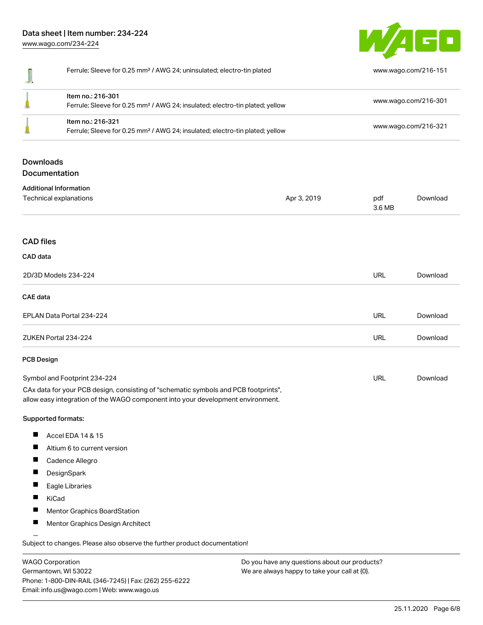[www.wago.com/234-224](http://www.wago.com/234-224)



|                          | Ferrule; Sleeve for 0.25 mm <sup>2</sup> / AWG 24; uninsulated; electro-tin plated                                                                                                                                             |             | www.wago.com/216-151                         |          |
|--------------------------|--------------------------------------------------------------------------------------------------------------------------------------------------------------------------------------------------------------------------------|-------------|----------------------------------------------|----------|
|                          | Item no.: 216-301<br>Ferrule; Sleeve for 0.25 mm <sup>2</sup> / AWG 24; insulated; electro-tin plated; yellow<br>Item no.: 216-321<br>Ferrule; Sleeve for 0.25 mm <sup>2</sup> / AWG 24; insulated; electro-tin plated; yellow |             | www.wago.com/216-301<br>www.wago.com/216-321 |          |
|                          |                                                                                                                                                                                                                                |             |                                              |          |
| <b>Downloads</b>         | Documentation                                                                                                                                                                                                                  |             |                                              |          |
|                          | <b>Additional Information</b>                                                                                                                                                                                                  |             |                                              |          |
|                          | Technical explanations                                                                                                                                                                                                         | Apr 3, 2019 | pdf<br>3.6 MB                                | Download |
| <b>CAD</b> files         |                                                                                                                                                                                                                                |             |                                              |          |
| CAD data                 |                                                                                                                                                                                                                                |             |                                              |          |
|                          | 2D/3D Models 234-224                                                                                                                                                                                                           |             | <b>URL</b>                                   | Download |
| <b>CAE</b> data          |                                                                                                                                                                                                                                |             |                                              |          |
|                          | EPLAN Data Portal 234-224                                                                                                                                                                                                      |             | <b>URL</b>                                   | Download |
|                          | ZUKEN Portal 234-224                                                                                                                                                                                                           |             | URL                                          | Download |
| <b>PCB Design</b>        |                                                                                                                                                                                                                                |             |                                              |          |
|                          | Symbol and Footprint 234-224                                                                                                                                                                                                   |             | URL                                          | Download |
|                          | CAx data for your PCB design, consisting of "schematic symbols and PCB footprints",<br>allow easy integration of the WAGO component into your development environment.                                                         |             |                                              |          |
|                          | Supported formats:                                                                                                                                                                                                             |             |                                              |          |
| ш                        | Accel EDA 14 & 15                                                                                                                                                                                                              |             |                                              |          |
|                          | Altium 6 to current version                                                                                                                                                                                                    |             |                                              |          |
| H                        | Cadence Allegro                                                                                                                                                                                                                |             |                                              |          |
| ш                        | DesignSpark                                                                                                                                                                                                                    |             |                                              |          |
|                          | Eagle Libraries                                                                                                                                                                                                                |             |                                              |          |
|                          | KiCad                                                                                                                                                                                                                          |             |                                              |          |
|                          | Mentor Graphics BoardStation                                                                                                                                                                                                   |             |                                              |          |
| $\overline{\phantom{a}}$ | Mentor Graphics Design Architect                                                                                                                                                                                               |             |                                              |          |

WAGO Corporation Germantown, WI 53022 Phone: 1-800-DIN-RAIL (346-7245) | Fax: (262) 255-6222 Email: info.us@wago.com | Web: www.wago.us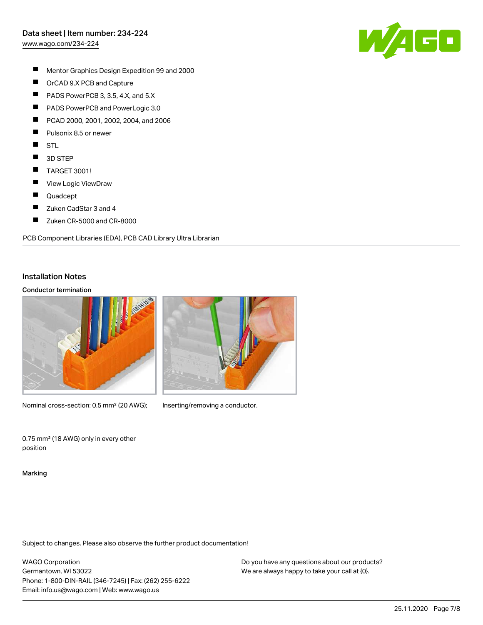[www.wago.com/234-224](http://www.wago.com/234-224)



- $\blacksquare$ Mentor Graphics Design Expedition 99 and 2000
- $\blacksquare$ OrCAD 9.X PCB and Capture
- $\blacksquare$ PADS PowerPCB 3, 3.5, 4.X, and 5.X
- $\blacksquare$ PADS PowerPCB and PowerLogic 3.0
- П PCAD 2000, 2001, 2002, 2004, and 2006
- $\blacksquare$ Pulsonix 8.5 or newer
- $\blacksquare$ STL
- $\blacksquare$ 3D STEP
- $\blacksquare$ TARGET 3001!
- $\blacksquare$ View Logic ViewDraw
- $\blacksquare$ Quadcept
- П Zuken CadStar 3 and 4
- $\blacksquare$ Zuken CR-5000 and CR-8000

PCB Component Libraries (EDA), PCB CAD Library Ultra Librarian

#### Installation Notes

#### Conductor termination



Nominal cross-section: 0.5 mm<sup>2</sup> (20 AWG); Inserting/removing a conductor.

0.75 mm² (18 AWG) only in every other position

Marking

Subject to changes. Please also observe the further product documentation!

WAGO Corporation Germantown, WI 53022 Phone: 1-800-DIN-RAIL (346-7245) | Fax: (262) 255-6222 Email: info.us@wago.com | Web: www.wago.us